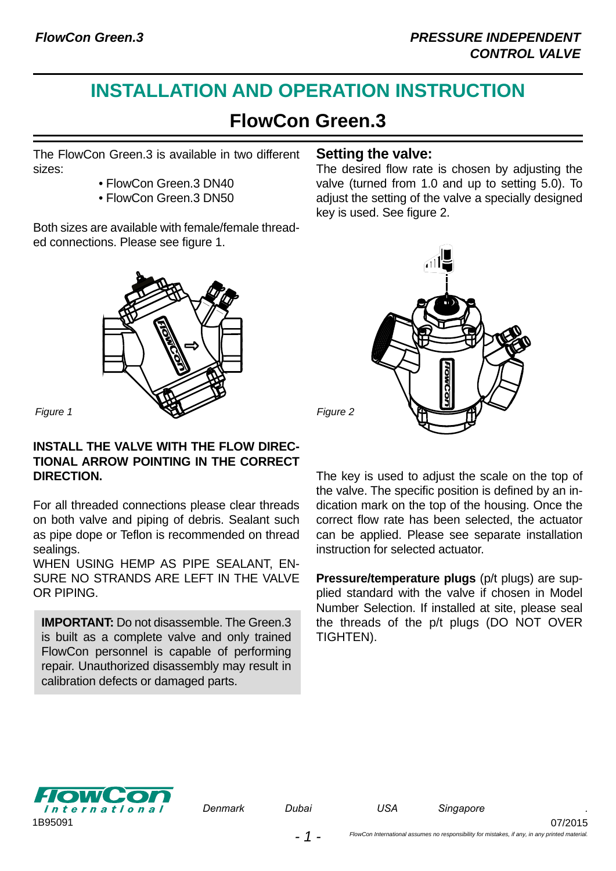# **INSTALLATION AND OPERATION INSTRUCTION**

## **FlowCon Green.3**

The [FlowCon Green.3](http://planetaklimata.com.ua/ua/catalog/lineup/?goodsid=1051&path=root-27-46-136-1051) is available in two different sizes:

- FlowCon Green.3 DN40
- FlowCon Green.3 DN50

Both sizes are available with female/female threaded connections. Please see figure 1.



#### **INSTALL THE VALVE WITH THE FLOW DIREC-TIONAL ARROW POINTING IN THE CORRECT DIRECTION.**

For all threaded connections please clear threads on both valve and piping of debris. Sealant such as pipe dope or Teflon is recommended on thread sealings.

WHEN USING HEMP AS PIPE SEALANT. EN-SURE NO STRANDS ARE LEFT IN THE VALVE OR PIPING.

**IMPORTANT:** Do not disassemble. The Green.3 is built as a complete valve and only trained FlowCon personnel is capable of performing repair. Unauthorized disassembly may result in calibration defects or damaged parts.

#### **Setting the valve:**

The desired flow rate is chosen by adjusting the valve (turned from 1.0 and up to setting 5.0). To adjust the setting of the valve a specially designed key is used. See figure 2.



The key is used to adjust the scale on the top of the valve. The specific position is defined by an indication mark on the top of the housing. Once the correct flow rate has been selected, the actuator can be applied. Please see separate installation instruction for selected actuator.

**Pressure/temperature plugs** (p/t plugs) are supplied standard with the valve if chosen in Model Number Selection. If installed at site, please seal the threads of the p/t plugs (DO NOT OVER TIGHTEN).



*Denmark Dubai* 

07/2015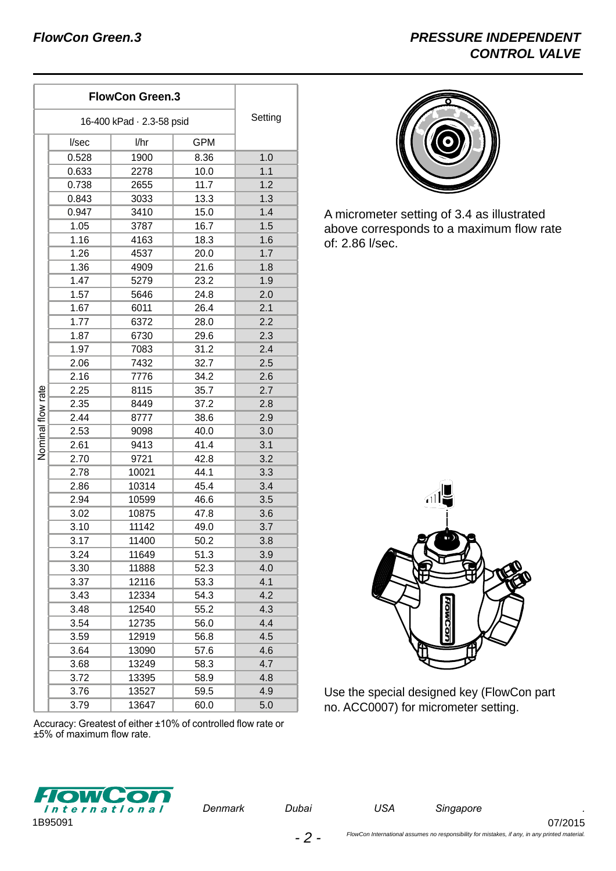| <b>FlowCon Green.3</b>    |       |       |      | Setting |
|---------------------------|-------|-------|------|---------|
| 16-400 kPad · 2.3-58 psid |       |       |      |         |
| Nominal flow rate         | I/sec | l/hr  | GPM  |         |
|                           | 0.528 | 1900  | 8.36 | 1.0     |
|                           | 0.633 | 2278  | 10.0 | 1.1     |
|                           | 0.738 | 2655  | 11.7 | 1.2     |
|                           | 0.843 | 3033  | 13.3 | 1.3     |
|                           | 0.947 | 3410  | 15.0 | 1.4     |
|                           | 1.05  | 3787  | 16.7 | 1.5     |
|                           | 1.16  | 4163  | 18.3 | 1.6     |
|                           | 1.26  | 4537  | 20.0 | 1.7     |
|                           | 1.36  | 4909  | 21.6 | 1.8     |
|                           | 1.47  | 5279  | 23.2 | 1.9     |
|                           | 1.57  | 5646  | 24.8 | 2.0     |
|                           | 1.67  | 6011  | 26.4 | 2.1     |
|                           | 1.77  | 6372  | 28.0 | 2.2     |
|                           | 1.87  | 6730  | 29.6 | 2.3     |
|                           | 1.97  | 7083  | 31.2 | 2.4     |
|                           | 2.06  | 7432  | 32.7 | 2.5     |
|                           | 2.16  | 7776  | 34.2 | 2.6     |
|                           | 2.25  | 8115  | 35.7 | 2.7     |
|                           | 2.35  | 8449  | 37.2 | 2.8     |
|                           | 2.44  | 8777  | 38.6 | 2.9     |
|                           | 2.53  | 9098  | 40.0 | 3.0     |
|                           | 2.61  | 9413  | 41.4 | 3.1     |
|                           | 2.70  | 9721  | 42.8 | 3.2     |
|                           | 2.78  | 10021 | 44.1 | 3.3     |
|                           | 2.86  | 10314 | 45.4 | 3.4     |
|                           | 2.94  | 10599 | 46.6 | 3.5     |
|                           | 3.02  | 10875 | 47.8 | 3.6     |
|                           | 3.10  | 11142 | 49.0 | 3.7     |
|                           | 3.17  | 11400 | 50.2 | 3.8     |
|                           | 3.24  | 11649 | 51.3 | 3.9     |
|                           | 3.30  | 11888 | 52.3 | 4.0     |
|                           | 3.37  | 12116 | 53.3 | 4.1     |
|                           | 3.43  | 12334 | 54.3 | 4.2     |
|                           | 3.48  | 12540 | 55.2 | 4.3     |
|                           | 3.54  | 12735 | 56.0 | 4.4     |
|                           | 3.59  | 12919 | 56.8 | 4.5     |
|                           | 3.64  | 13090 | 57.6 | 4.6     |
|                           | 3.68  | 13249 | 58.3 | 4.7     |
|                           | 3.72  | 13395 | 58.9 | 4.8     |
|                           | 3.76  | 13527 | 59.5 | 4.9     |
|                           | 3.79  | 13647 | 60.0 | 5.0     |



A micrometer setting of 3.4 as illustrated above corresponds to a maximum flow rate of: 2.86 l/sec.



Use the special designed key ([FlowCon](http://planetaklimata.com.ua/ua/proizvoditeli/FlowCon/) part no. ACC0007) for micrometer setting.

Accuracy: Greatest of either ±10% of controlled flow rate or ±5% of maximum flow rate.



*Denmark Dubai* 

*USA Singapore .*

07/2015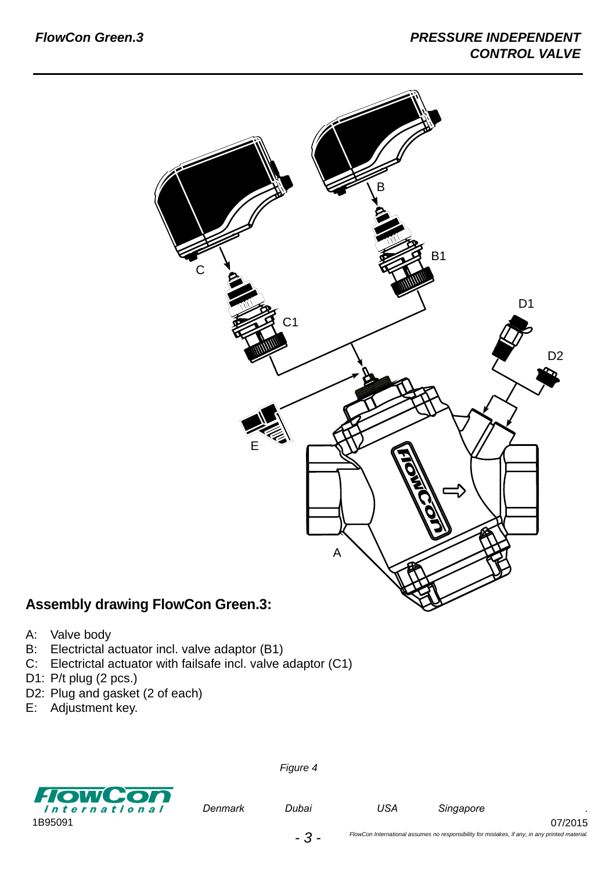

### **Assembly drawing FlowCon Green.3:**

- A: Valve body
- B: Electrictal actuator incl. valve adaptor (B1)
- C: Electrictal actuator with failsafe incl. valve adaptor (C1)
- D1: P/t plug (2 pcs.)
- D2: Plug and gasket (2 of each)
- E: Adjustment key.



*Figure 4*

*Denmark Dubai* 

07/2015

*- 3 -*